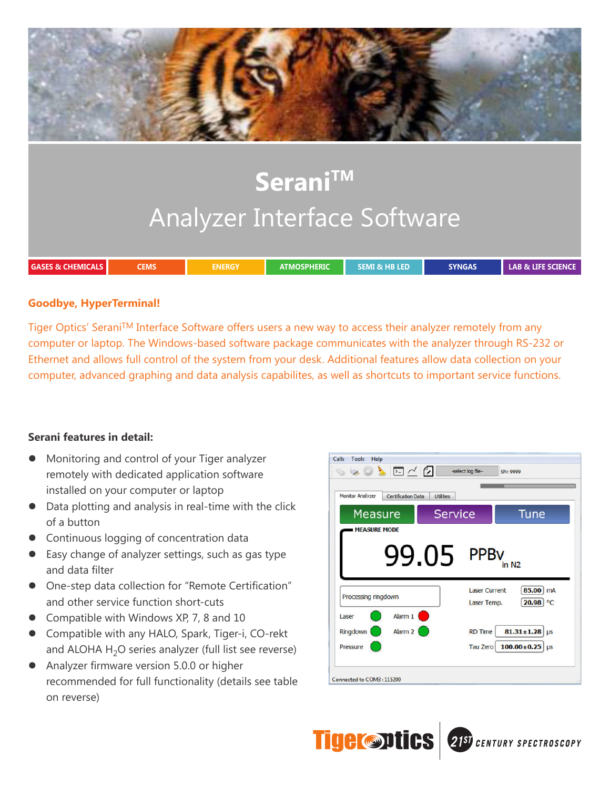

## **Goodbye, HyperTerminal!**

Tiger Optics' Serani™ Interface Software offers users a new way to access their analyzer remotely from any computer or laptop. The Windows-based software package communicates with the analyzer through RS-232 or Ethernet and allows full control of the system from your desk. Additional features allow data collection on your computer, advanced graphing and data analysis capabilites, as well as shortcuts to important service functions.

## **Serani features in detail:**

- $\bullet$  Monitoring and control of your Tiger analyzer remotely with dedicated application software installed on your computer or laptop
- Data plotting and analysis in real-time with the click of a button
- Continuous logging of concentration data
- Easy change of analyzer settings, such as gas type and data filter
- One-step data collection for "Remote Certification" and other service function short-cuts
- Compatible with Windows XP, 7, 8 and 10
- Compatible with any HALO, Spark, Tiger-i, CO-rekt and ALOHA  $H_2O$  series analyzer (full list see reverse)
- Analyzer firmware version 5.0.0 or higher recommended for full functionality (details see table on reverse)

| <b>Monitor Analyzer</b> | <b>Certification Data</b><br><b>Utilities</b> |                                     |                                  |
|-------------------------|-----------------------------------------------|-------------------------------------|----------------------------------|
| Measure                 | <b>Service</b>                                |                                     | Tune                             |
| <b>MEASURE MODE</b>     |                                               |                                     |                                  |
|                         | 99.05 PPBV                                    |                                     | in N <sub>2</sub>                |
| Processing ringdown     |                                               | <b>Laser Current</b><br>Laser Temp. | 85.00<br><b>mA</b><br>$20.98$ °C |
|                         | Alarm 1                                       |                                     |                                  |
| Laser                   |                                               |                                     |                                  |
| Ringdown                | Alarm 2                                       | <b>RD Time</b>                      | $81.31 \pm 1.28$<br><b>LIS</b>   |